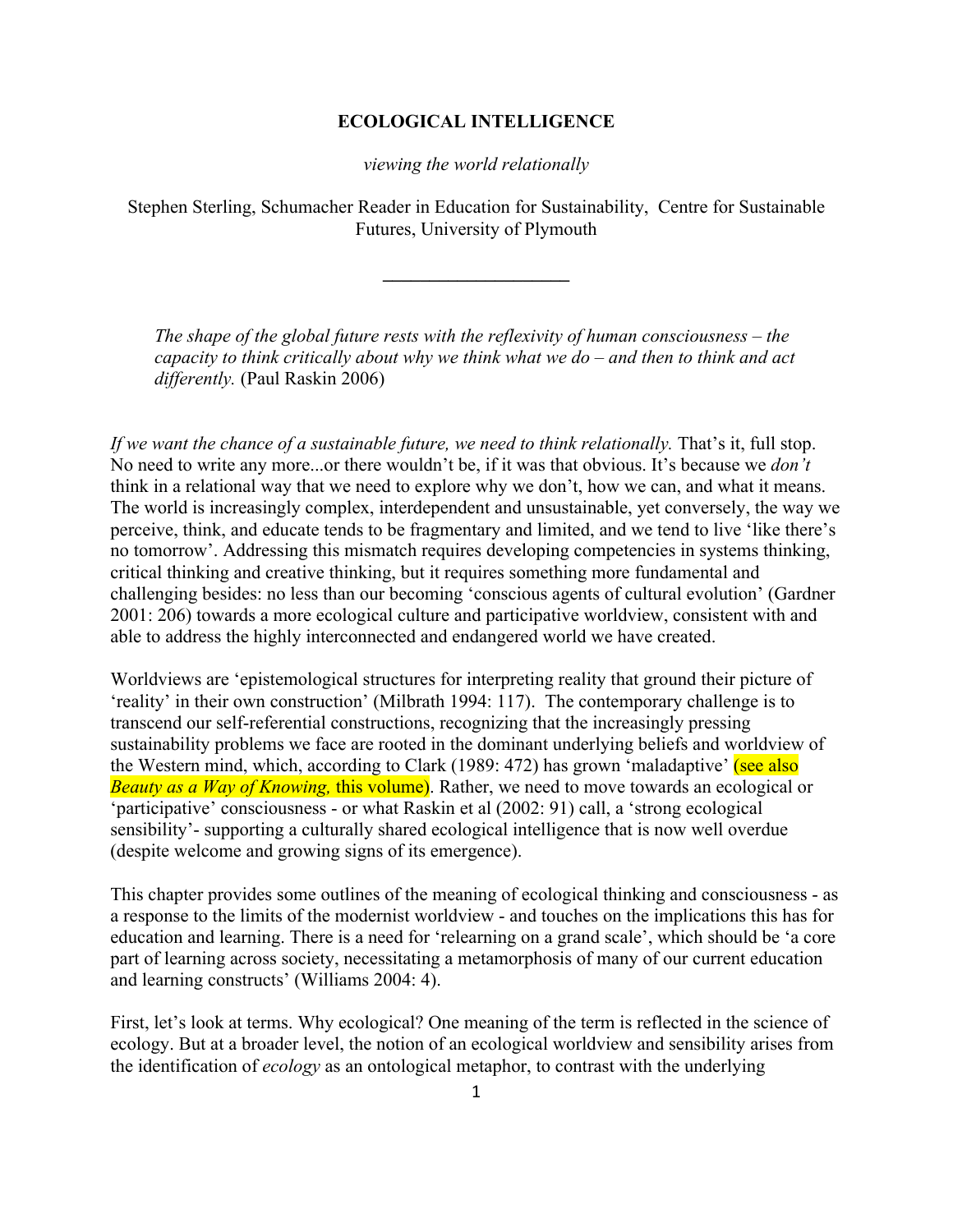## **ECOLOGICAL INTELLIGENCE**

*viewing the world relationally*

Stephen Sterling, Schumacher Reader in Education for Sustainability, Centre for Sustainable Futures, University of Plymouth

**\_\_\_\_\_\_\_\_\_\_\_\_\_\_\_\_\_\_\_\_**

*The shape of the global future rests with the reflexivity of human consciousness – the capacity to think critically about why we think what we do – and then to think and act differently.* (Paul Raskin 2006)

*If we want the chance of a sustainable future, we need to think relationally.* That's it, full stop. No need to write any more...or there wouldn't be, if it was that obvious. It's because we *don't*  think in a relational way that we need to explore why we don't, how we can, and what it means. The world is increasingly complex, interdependent and unsustainable, yet conversely, the way we perceive, think, and educate tends to be fragmentary and limited, and we tend to live 'like there's no tomorrow'. Addressing this mismatch requires developing competencies in systems thinking, critical thinking and creative thinking, but it requires something more fundamental and challenging besides: no less than our becoming 'conscious agents of cultural evolution' (Gardner 2001: 206) towards a more ecological culture and participative worldview, consistent with and able to address the highly interconnected and endangered world we have created.

Worldviews are 'epistemological structures for interpreting reality that ground their picture of 'reality' in their own construction' (Milbrath 1994: 117). The contemporary challenge is to transcend our self-referential constructions, recognizing that the increasingly pressing sustainability problems we face are rooted in the dominant underlying beliefs and worldview of the Western mind, which, according to Clark (1989: 472) has grown 'maladaptive' (see also *Beauty as a Way of Knowing,* this volume). Rather, we need to move towards an ecological or 'participative' consciousness - or what Raskin et al (2002: 91) call, a 'strong ecological sensibility'- supporting a culturally shared ecological intelligence that is now well overdue (despite welcome and growing signs of its emergence).

This chapter provides some outlines of the meaning of ecological thinking and consciousness - as a response to the limits of the modernist worldview - and touches on the implications this has for education and learning. There is a need for 'relearning on a grand scale', which should be 'a core part of learning across society, necessitating a metamorphosis of many of our current education and learning constructs' (Williams 2004: 4).

First, let's look at terms. Why ecological? One meaning of the term is reflected in the science of ecology. But at a broader level, the notion of an ecological worldview and sensibility arises from the identification of *ecology* as an ontological metaphor, to contrast with the underlying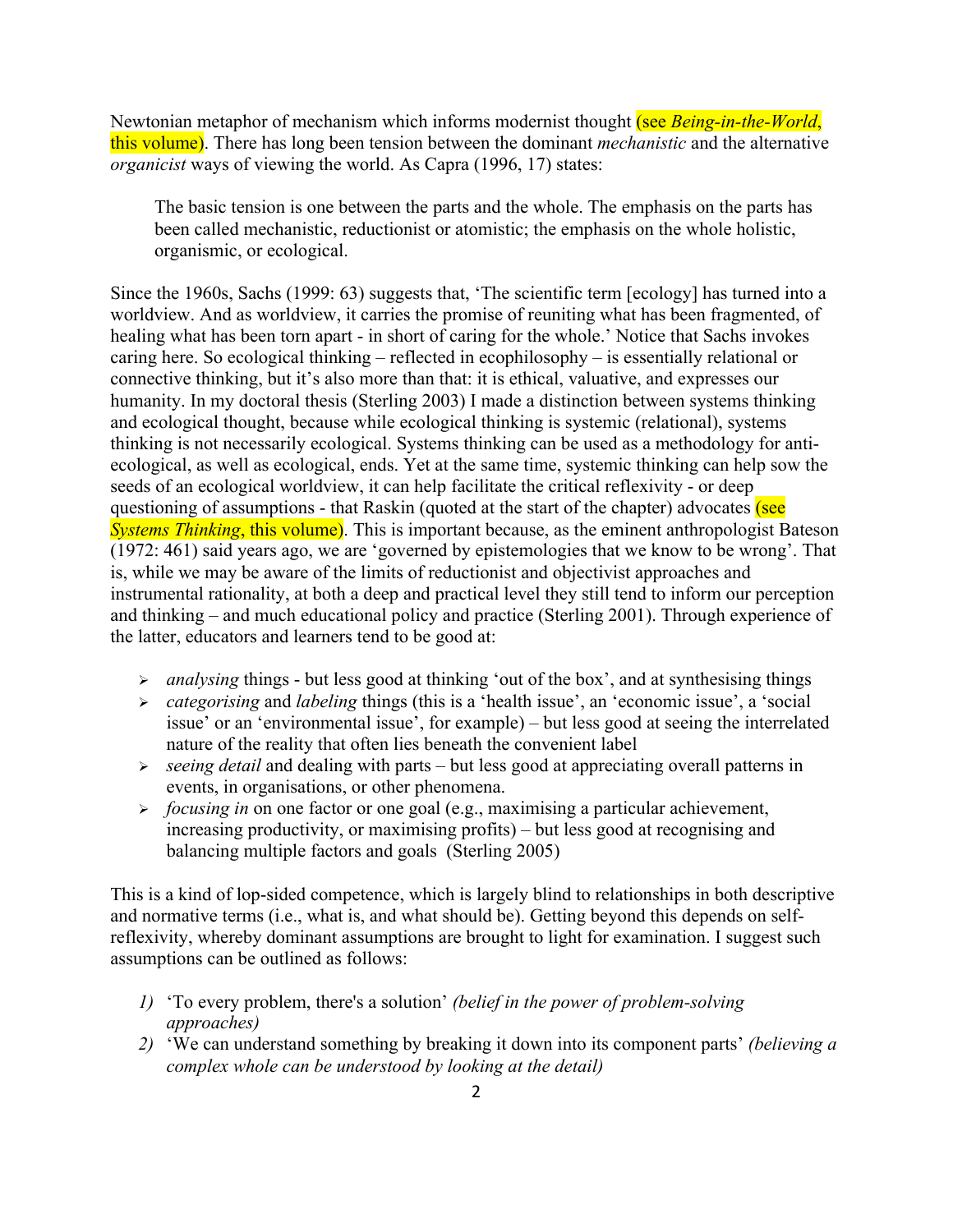Newtonian metaphor of mechanism which informs modernist thought (see *Being-in-the-World*, this volume). There has long been tension between the dominant *mechanistic* and the alternative *organicist* ways of viewing the world. As Capra (1996, 17) states:

The basic tension is one between the parts and the whole. The emphasis on the parts has been called mechanistic, reductionist or atomistic; the emphasis on the whole holistic, organismic, or ecological.

Since the 1960s, Sachs (1999: 63) suggests that, 'The scientific term [ecology] has turned into a worldview. And as worldview, it carries the promise of reuniting what has been fragmented, of healing what has been torn apart - in short of caring for the whole.' Notice that Sachs invokes caring here. So ecological thinking – reflected in ecophilosophy – is essentially relational or connective thinking, but it's also more than that: it is ethical, valuative, and expresses our humanity. In my doctoral thesis (Sterling 2003) I made a distinction between systems thinking and ecological thought, because while ecological thinking is systemic (relational), systems thinking is not necessarily ecological. Systems thinking can be used as a methodology for antiecological, as well as ecological, ends. Yet at the same time, systemic thinking can help sow the seeds of an ecological worldview, it can help facilitate the critical reflexivity - or deep questioning of assumptions - that Raskin (quoted at the start of the chapter) advocates (see *Systems Thinking*, this volume). This is important because, as the eminent anthropologist Bateson (1972: 461) said years ago, we are 'governed by epistemologies that we know to be wrong'. That is, while we may be aware of the limits of reductionist and objectivist approaches and instrumental rationality, at both a deep and practical level they still tend to inform our perception and thinking – and much educational policy and practice (Sterling 2001). Through experience of the latter, educators and learners tend to be good at:

- *analysing* things but less good at thinking 'out of the box', and at synthesising things
- *categorising* and *labeling* things (this is a 'health issue', an 'economic issue', a 'social issue' or an 'environmental issue', for example) – but less good at seeing the interrelated nature of the reality that often lies beneath the convenient label
- *seeing detail* and dealing with parts but less good at appreciating overall patterns in events, in organisations, or other phenomena.
- *focusing in* on one factor or one goal (e.g., maximising a particular achievement, increasing productivity, or maximising profits) – but less good at recognising and balancing multiple factors and goals (Sterling 2005)

This is a kind of lop-sided competence, which is largely blind to relationships in both descriptive and normative terms (i.e., what is, and what should be). Getting beyond this depends on selfreflexivity, whereby dominant assumptions are brought to light for examination. I suggest such assumptions can be outlined as follows:

- *1)* 'To every problem, there's a solution' *(belief in the power of problem-solving approaches)*
- *2)* 'We can understand something by breaking it down into its component parts' *(believing a complex whole can be understood by looking at the detail)*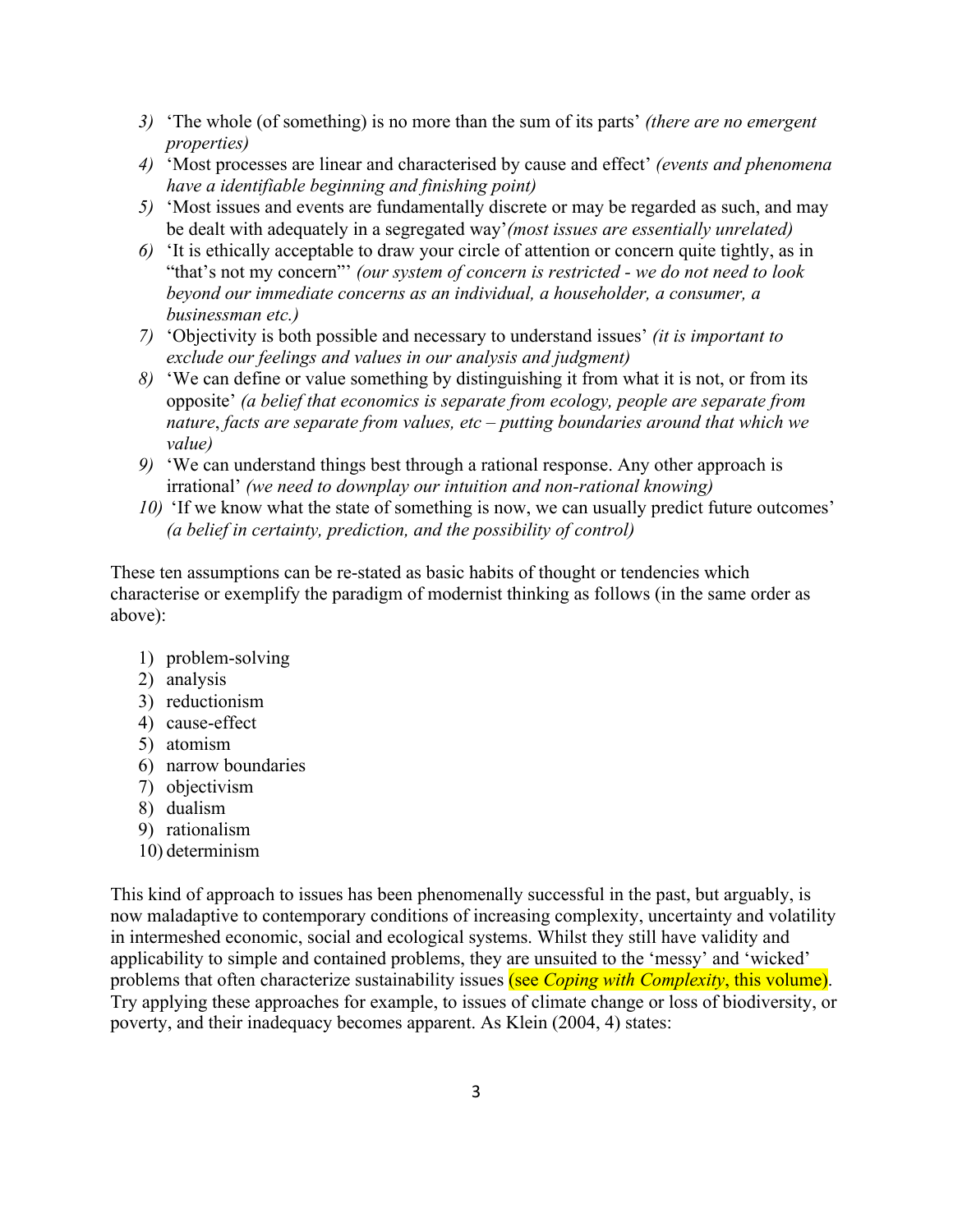- *3)* 'The whole (of something) is no more than the sum of its parts' *(there are no emergent properties)*
- *4)* 'Most processes are linear and characterised by cause and effect' *(events and phenomena have a identifiable beginning and finishing point)*
- *5)* 'Most issues and events are fundamentally discrete or may be regarded as such, and may be dealt with adequately in a segregated way'*(most issues are essentially unrelated)*
- *6)* 'It is ethically acceptable to draw your circle of attention or concern quite tightly, as in "that's not my concern"' *(our system of concern is restricted - we do not need to look beyond our immediate concerns as an individual, a householder, a consumer, a businessman etc.)*
- *7)* 'Objectivity is both possible and necessary to understand issues' *(it is important to exclude our feelings and values in our analysis and judgment)*
- *8)* 'We can define or value something by distinguishing it from what it is not, or from its opposite' *(a belief that economics is separate from ecology, people are separate from nature*, *facts are separate from values, etc – putting boundaries around that which we value)*
- *9)* 'We can understand things best through a rational response. Any other approach is irrational' *(we need to downplay our intuition and non-rational knowing)*
- *10)* 'If we know what the state of something is now, we can usually predict future outcomes' *(a belief in certainty, prediction, and the possibility of control)*

These ten assumptions can be re-stated as basic habits of thought or tendencies which characterise or exemplify the paradigm of modernist thinking as follows (in the same order as above):

- 1) problem-solving
- 2) analysis
- 3) reductionism
- 4) cause-effect
- 5) atomism
- 6) narrow boundaries
- 7) objectivism
- 8) dualism
- 9) rationalism
- 10) determinism

This kind of approach to issues has been phenomenally successful in the past, but arguably, is now maladaptive to contemporary conditions of increasing complexity, uncertainty and volatility in intermeshed economic, social and ecological systems. Whilst they still have validity and applicability to simple and contained problems, they are unsuited to the 'messy' and 'wicked' problems that often characterize sustainability issues (see *Coping with Complexity*, this volume). Try applying these approaches for example, to issues of climate change or loss of biodiversity, or poverty, and their inadequacy becomes apparent. As Klein (2004, 4) states: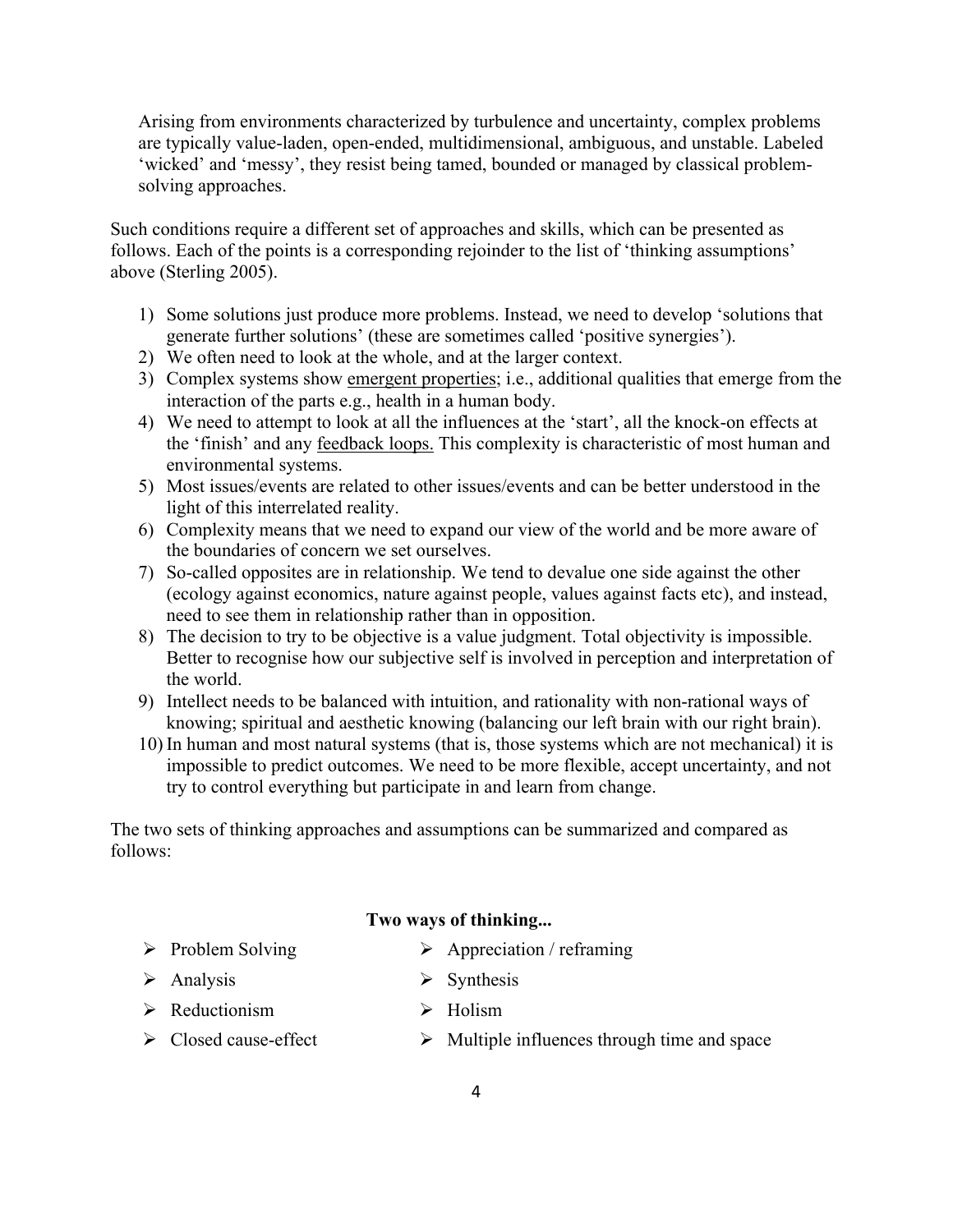Arising from environments characterized by turbulence and uncertainty, complex problems are typically value-laden, open-ended, multidimensional, ambiguous, and unstable. Labeled 'wicked' and 'messy', they resist being tamed, bounded or managed by classical problemsolving approaches.

Such conditions require a different set of approaches and skills, which can be presented as follows. Each of the points is a corresponding rejoinder to the list of 'thinking assumptions' above (Sterling 2005).

- 1) Some solutions just produce more problems. Instead, we need to develop 'solutions that generate further solutions' (these are sometimes called 'positive synergies').
- 2) We often need to look at the whole, and at the larger context.
- 3) Complex systems show emergent properties; i.e., additional qualities that emerge from the interaction of the parts e.g., health in a human body.
- 4) We need to attempt to look at all the influences at the 'start', all the knock-on effects at the 'finish' and any feedback loops. This complexity is characteristic of most human and environmental systems.
- 5) Most issues/events are related to other issues/events and can be better understood in the light of this interrelated reality.
- 6) Complexity means that we need to expand our view of the world and be more aware of the boundaries of concern we set ourselves.
- 7) So-called opposites are in relationship. We tend to devalue one side against the other (ecology against economics, nature against people, values against facts etc), and instead, need to see them in relationship rather than in opposition.
- 8) The decision to try to be objective is a value judgment. Total objectivity is impossible. Better to recognise how our subjective self is involved in perception and interpretation of the world.
- 9) Intellect needs to be balanced with intuition, and rationality with non-rational ways of knowing; spiritual and aesthetic knowing (balancing our left brain with our right brain).
- 10) In human and most natural systems (that is, those systems which are not mechanical) it is impossible to predict outcomes. We need to be more flexible, accept uncertainty, and not try to control everything but participate in and learn from change.

The two sets of thinking approaches and assumptions can be summarized and compared as follows:

## **Two ways of thinking...**

- $\triangleright$  Problem Solving  $\triangleright$  Appreciation / reframing
- $\triangleright$  Analysis  $\triangleright$  Synthesis
- $\triangleright$  Reductionism  $\triangleright$  Holism
- $\triangleright$  Closed cause-effect  $\triangleright$  Multiple influences through time and space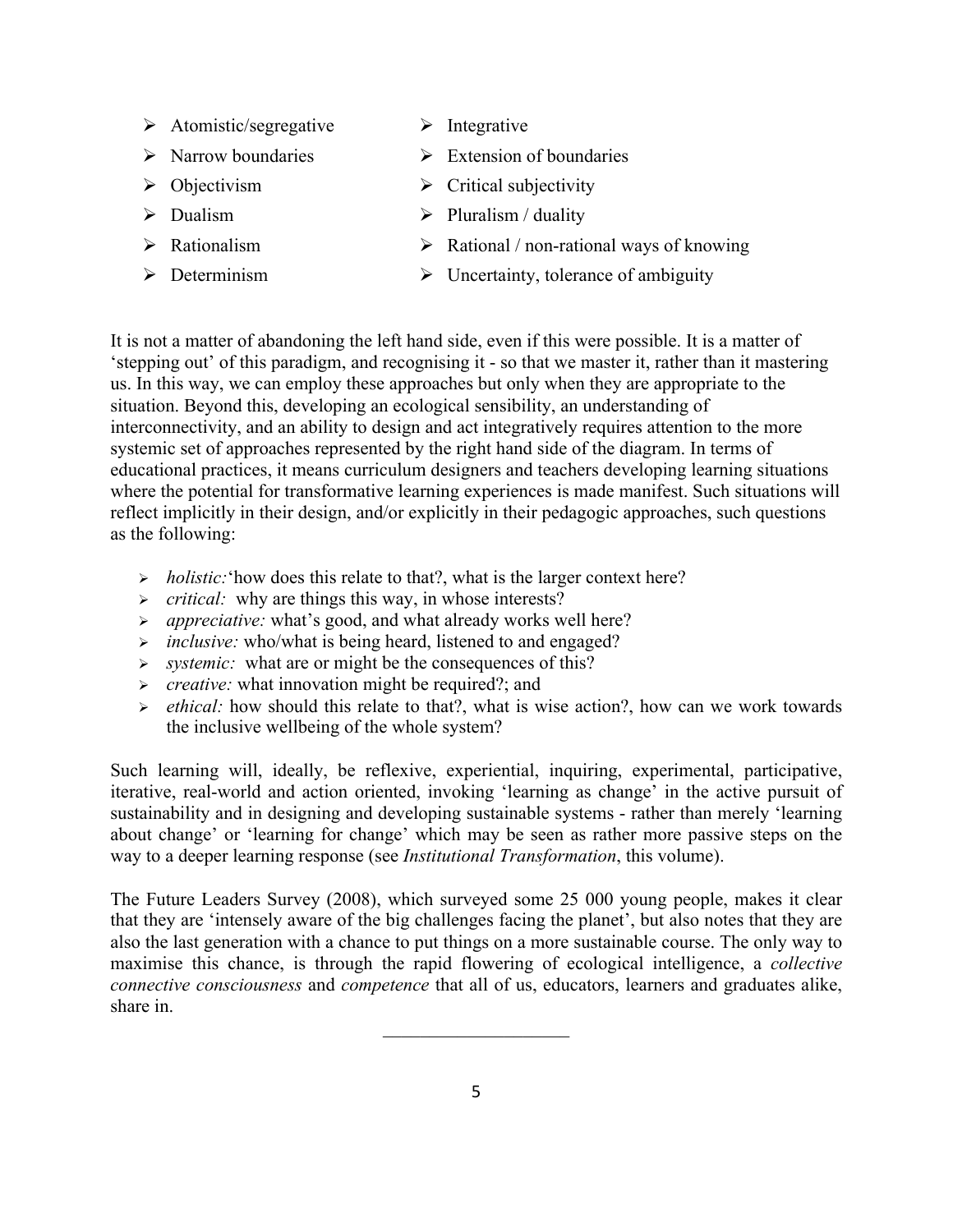- $\triangleright$  Atomistic/segregative  $\triangleright$  Integrative
	-
- $\triangleright$  Narrow boundaries  $\triangleright$  Extension of boundaries
- 
- 
- 
- 
- 
- $\triangleright$  Objectivism  $\triangleright$  Critical subjectivity
- $\triangleright$  Dualism  $\triangleright$  Pluralism / duality
- $\triangleright$  Rationalism  $\triangleright$  Rational / non-rational ways of knowing
- $\triangleright$  Determinism  $\triangleright$  Uncertainty, tolerance of ambiguity

It is not a matter of abandoning the left hand side, even if this were possible. It is a matter of 'stepping out' of this paradigm, and recognising it - so that we master it, rather than it mastering us. In this way, we can employ these approaches but only when they are appropriate to the situation. Beyond this, developing an ecological sensibility, an understanding of interconnectivity, and an ability to design and act integratively requires attention to the more systemic set of approaches represented by the right hand side of the diagram. In terms of educational practices, it means curriculum designers and teachers developing learning situations where the potential for transformative learning experiences is made manifest. Such situations will reflect implicitly in their design, and/or explicitly in their pedagogic approaches, such questions as the following:

- *impolistic:* 'how does this relate to that?, what is the larger context here?
- > *critical:* why are things this way, in whose interests?
- *appreciative:* what's good, and what already works well here?
- *inclusive:* who/what is being heard, listened to and engaged?
- *systemic:* what are or might be the consequences of this?
- **Example 2** creative: what innovation might be required?; and
- *ethical:* how should this relate to that?, what is wise action?, how can we work towards the inclusive wellbeing of the whole system?

Such learning will, ideally, be reflexive, experiential, inquiring, experimental, participative, iterative, real-world and action oriented, invoking 'learning as change' in the active pursuit of sustainability and in designing and developing sustainable systems - rather than merely 'learning about change' or 'learning for change' which may be seen as rather more passive steps on the way to a deeper learning response (see *Institutional Transformation*, this volume).

The Future Leaders Survey (2008), which surveyed some 25 000 young people, makes it clear that they are 'intensely aware of the big challenges facing the planet', but also notes that they are also the last generation with a chance to put things on a more sustainable course. The only way to maximise this chance, is through the rapid flowering of ecological intelligence, a *collective connective consciousness* and *competence* that all of us, educators, learners and graduates alike, share in.

 $\mathcal{L}_\text{max}$  , where  $\mathcal{L}_\text{max}$  , we have the set of  $\mathcal{L}_\text{max}$